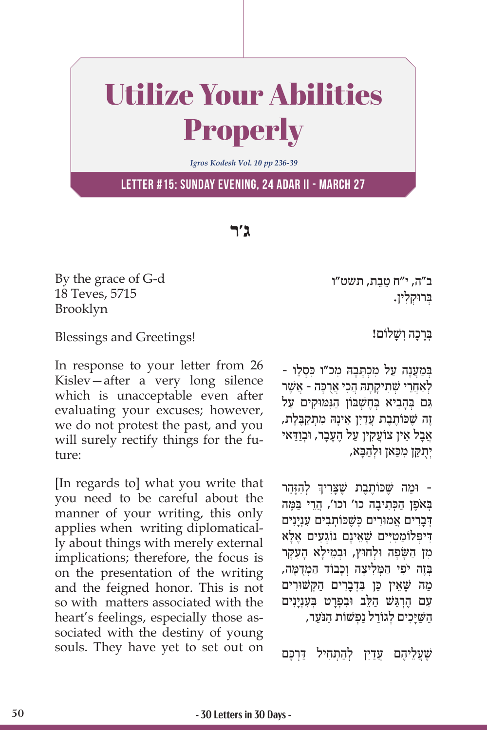## Utilize Your Abilities Properly

*Igros Kodesh Vol. 10 pp 236-39*

**Letter #15: Sunday evening, 24 Adar II - March 27**

**ג'ר**

By the grace of G-d 18 Teves, 5715 Brooklyn

Blessings and Greetings!

In response to your letter from 26 Kislev—after a very long silence which is unacceptable even after evaluating your excuses; however, we do not protest the past, and you will surely rectify things for the future:

[In regards to] what you write that you need to be careful about the manner of your writing, this only applies when writing diplomatically about things with merely external implications; therefore, the focus is on the presentation of the writing and the feigned honor. This is not so with matters associated with the heart's feelings, especially those associated with the destiny of young souls. They have yet to set out on ֵ ב"ה, י"ח טֵבת, תשט"ו ְּב ּרו ְק ִלין.

ַבְּרַכָה וְשָׁלוֹם!

- במענה על מכתבה מכ״ו כּסלו לְאַחֲרִי שָׁתִיקָתָהּ הֲכִי אֲרָכָּה - אֲשֶׁר ְ בָּם בְּהָבִיא בְּחֵשְׁבּוֹן הַנִּמּוּקִים עַל ֶזֶה שֶׁכּוֹתֶבֶת עֲדַיִן אֵינָהּ מִתְקַבֶּלֶת, ֿאַבַל אֵין צוֹעֵקִין עַל הֵעֲבַר, וּבְוַדַּאי יתקן מכאן ולהבא,

֧֧֧֦֧֢ׅ֖֖֖֖֖֧֚֚֚֚֚֚֝֝֬<u>֓</u> ּ וּמַה שֶׁכּוֹתֶבֶת שֶׁצָּרִיךְ לְהִזָּהֵר בְּאֹפֵן הַכְּתִיבָה כו' וכו', הֲרֵי בַּמֶּה **דִברים אמוּרים כַּשֵׁכּוֹתִבים עִנְינים** דִּיפְּלוֹמַטִיִּים שֶׁאֵינָם נוֹגְעִים אֶלָּא מן השפה וּלְחוּץ, וּבְמֵילֹא העקר בְּזֶה יֹפִי הַמְּלִיצָה וְכָבוֹד הַמְדָמֶה, ַמה שֶּׁ ֵא ֵ ין כּ ִּ ן בְדָבִר ַ ים ה ּק ְ ּשׁ וִרים ּעָם הֶרְגֵּשׁ הַלֵּב וּבִפְרָט בְּעָנְיָנִים הַשַּׁיָּכִים לְגוֹרַל נַפְּשׁוֹת הַנֹּעַר,

שֵׁעֲלֵיהֵם עֵדַיִן לְהַתְחִיל דַּרְכָּם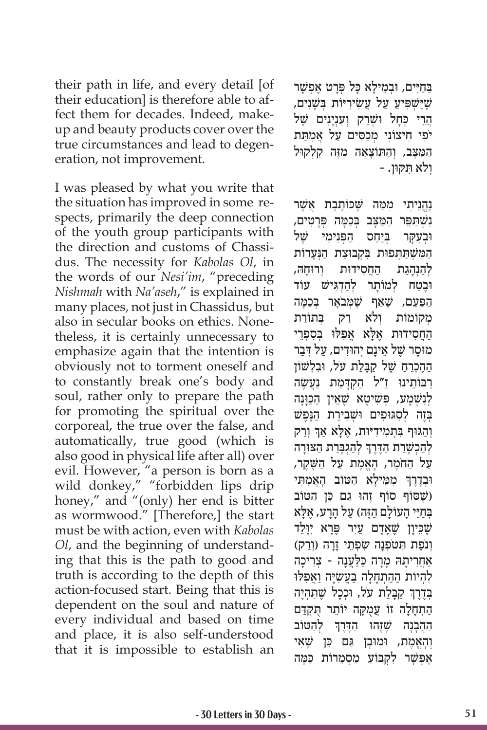their path in life, and every detail [of their education] is therefore able to affect them for decades. Indeed, makeup and beauty products cover over the true circumstances and lead to degeneration, not improvement.

I was pleased by what you write that the situation has improved in some respects, primarily the deep connection of the youth group participants with the direction and customs of Chassidus. The necessity for *Kabolas Ol*, in the words of our *Nesi'im*, "preceding *Nishmah* with *Na'aseh*," is explained in many places, not just in Chassidus, but also in secular books on ethics. Nonetheless, it is certainly unnecessary to emphasize again that the intention is obviously not to torment oneself and to constantly break one's body and soul, rather only to prepare the path for promoting the spiritual over the corporeal, the true over the false, and automatically, true good (which is also good in physical life after all) over evil. However, "a person is born as a wild donkey," "forbidden lips drip honey," and "(only) her end is bitter as wormwood." [Therefore,] the start must be with action, even with *Kabolas Ol*, and the beginning of understanding that this is the path to good and truth is according to the depth of this action-focused start. Being that this is dependent on the soul and nature of every individual and based on time and place, it is also self-understood that it is impossible to establish an

ַבַּחַיִּים, וּבְמֵילַא כָּל פְּרָט אֵפְשָׁר שֶׁיַּשְׁפִּיעַ עַל עֲשִׂירִיּוֹת בְּשָׁנִים, ָהֲרֵי כִּחַל וּשָׁרַק וְעָנְיַנִים שֵׁל יפי חיצוֹנִי מִכְסִים עַל אֲמְתַּת המצב, והתּוֹצאה מזה קלקוּל ְו ִּ לֹא ת ּק ּון. -

ּנֶהֱנֵיתִי מִמַּה שֵׁכוֹתֵבֵת אֲשֶׁר ַנשׁתִּפֵּר המִצִּב בַּכְמַּה פֵּרְטִים, וּבעקר בּיחס הפּנימי של הַמְּשָׁתַתְּפוּת בִּקְבוּצַת הַּנְעַרוֹת לְהִנְהָגֶת החסידוּת וְרוּחָה, וּבֵטח לִמוֹתר לִהדְגִישׁ עוֹד הפּעם, שֵׁאף שַׁמַּבֹאר בַּכמה מקוֹמוֹת ולֹא רק בּתוֹרת הַחֲסִידוּת אֶלָּא אֲפִלּוּ בְּסִפְרֵי ּמוָסר שֶׁ ֵל א ָינ ְם י ּהוִד ַ ים, ע ְ ּל דַבר ההַכְרַח שֵׁל קִבַּלֹת עֹל, וּבַלְשׁוֹן רַבּוֹתֵינוּ זַ״ל הַקְדָּמַת נַעֲשָׂה ַ לְנִשְׁמַע, פְּשִׁיטָא שֶׁאֵין הַכַּוְנָה בְּזֶה לְסְגּוּפִים וּשָׁבְירַת הַנֶּפֶשׁ ְוְהַגּוּף בִּתְמִידִיּוּת, אֶלָא אַךְ וְרַק ׇׅ֧֧֓<u>֓</u> ּלְהַכְשָׁרַת הַדֶּרֶךְ לְהַגְבָּרַת הַצּוּרָה ַעל החֹמֵר, האָמֵת על השֵׁקֵר, ׇׅ֧֧֓<u>֓</u> ּוּבְדֶרֶךְ מִמֵּילָא הַטּוֹב הָאֲמִתִּי שֵׁ הוֹ הַ הוּ גַם כֵּן הַטּוֹב) ּבְחַיֵּי הָעוֹלָם הַזֶּה) עַל הָרָע, אֶלָּא שֶׁבִּיוַן שֵׁאַדַם עַיִר פֶּרֶא יְוַלֵּד וְנֹפֶת תְּטֹפְנָה שִׂפְתֵי זַרָה (וְרַק) אַחֲרִיתָהּ מָרָה כַּלַעֲנָה - צְרִיכָה ּלְהְיוֹת הַהַתְחָלָה בַּעֲשָׂיָה וַאֲפִלּוּ ֧֧֧֦֧֢ׅ֖֖֖֖֖֧֚֚֚֚֚֚֝֝֬<u>֓</u> ּבְדֶרֶךְ קַבָּלַת עֹל, וּכְכָל שֶׁתִּהְיֶה הַתְחַלַה זוֹ עֵמְקַה יוֹתֵר תִּקְדַּם ְהַהָבְנָה שֶׁזֶּהוּ הַדֶּרֶךְ לְהַטּוֹב וְהָאֱמֶת, וּמוּבַן גַּם כֶּן שֶׁאֵי אַפַשר לקבוע מסמרות כ*ּמה*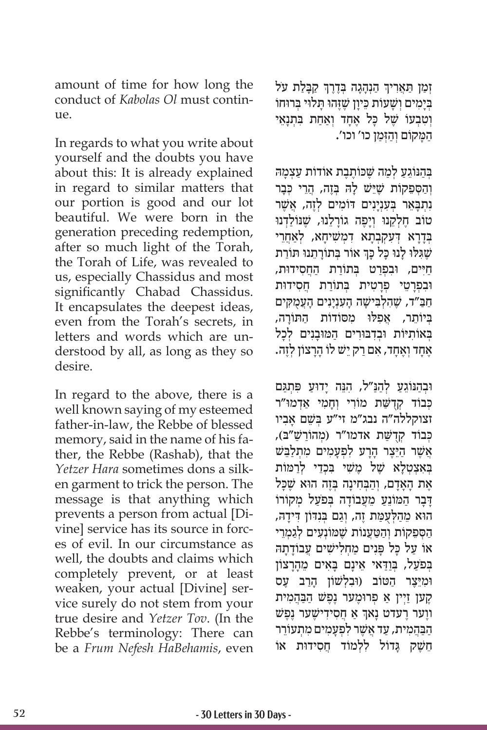amount of time for how long the conduct of *Kabolas Ol* must continue.

In regards to what you write about yourself and the doubts you have about this: It is already explained in regard to similar matters that our portion is good and our lot beautiful. We were born in the generation preceding redemption, after so much light of the Torah, the Torah of Life, was revealed to us, especially Chassidus and most significantly Chabad Chassidus. It encapsulates the deepest ideas, even from the Torah's secrets, in letters and words which are understood by all, as long as they so desire.

In regard to the above, there is a well known saying of my esteemed father-in-law, the Rebbe of blessed memory, said in the name of his father, the Rebbe (Rashab), that the *Yetzer Hara* sometimes dons a silken garment to trick the person. The message is that anything which prevents a person from actual [Divine] service has its source in forces of evil. In our circumstance as well, the doubts and claims which completely prevent, or at least weaken, your actual [Divine] service surely do not stem from your true desire and *Yetzer Tov*. (In the Rebbe's terminology: There can be a *Frum Nefesh HaBehamis*, even

֦֧֦֧֢ׅ֧֝֬֓<u>֓</u> ֿוְמַן תַּאֲרִיךְ הַנְהָגָה בְּדֶרֶךְ קַבָּלַת עֹל ֦֧֦֧֢ׅ֧֝֬֓<u>֓</u> ַ בִּימים ושַׁעוֹת כִּיון שֵׁזהוּ תִּלוִי בַּרוּחוֹ וְטִבְעוֹ שֶׁל כַּל אֶחֲד וְאָחַת בִּתְנַאֵי ַה ָּמ ְ קוֹ ם וַהְּזַמן כו' וכו'.

ַבְּהוֹגַע לִמה שֶׁכּוֹתֶבֶת אוֹדוֹת עַצָמהּ וְהַסְפֵקוֹת שֶׁיֵּשׁ לָהּ בְּזֶה, הֲרֵי כְּבָר **ׁנְתִבָּאֵר בְּעָנְיַנִים דוֹמִים לְזֶה, אֲשֶׁר** טוֹב חֵלְקֵנוּ וְיַפֶּה גוֹרַלֵנוּ, שֵׁנּוֹלַדְנוּ ְּבָדָר ְ ּ א דִע ְק ְבָת ִ א דְמשׁ ִ ָיח ְ א, לַאֲחֵרי ֧֧֧֧֦֧֢ׅ֖֧֚֚֝֝֬<u>֓</u> שֶׁגִּלוּ לְנוּ כָּל כָּךְ אוֹר בְּתוֹרָתֵנוּ תּוֹרַת חיים, וּבפִרט בַּתוֹרת החסידוּת, וּבִפְרָטֵי פְרָטִית בִּתוֹרַת חֲסִידוּת ַחַּב"ד, שֶׁ ִה ְל ִּבישָׁ ָה ה ִעְנָיִנ ָ ים הֲעֻמ ּק ִ ים ביוֹתר, אפלוּ מסוֹדוֹת התּוֹרה, באותיות ובדבורים המובנים לכל ָאֲחָד וְאֶחֲד, אִם רַק יָשׁ לוֹ הַרַצוֹן לְזֶה.

וּבְהַנּוֹגֵעַ לְהַנַּ״ל, הִנֵּה יַדוּעַ פִּתְגַּם כִּבוֹד קִדְשַּׁת מוֹרִי וְחַמְי אֲדְמוּ"ר ְּ זצוקללה"ה נבג"מ זי"ע בשֵׁ ָם א ִביו כּבוֹד קדשׁת אדמו"ר (מהוֹרשׁ"ב), ֿאֲשֶׁר הַיֵּצֶר הָרַע לְפְעַמִים מִתְלֹבֵּשׁ בְּאֵצְטָלַא שֶׁל מֵשִׁי בִּכְדֵי לְרַמּוֹת אֶת האדם, והבּחינה בְּזֶה הוּא שֵׁכּל ַדְּבַר הַמּוֹנֵעַ מֵעֲבוֹדָה בִּפֹעַל מִקוֹרוֹ ָהוֹא מֵהַלְעָמַת זֶה, וְגַם בְּנְדּוֹן דִּידָה, הַסְפֵקוֹת וְהַטַּעֲנוֹת שֶׁמּוֹנְעִים לְגַמְרֵי אוֹ על כּל פּנים מחלישים עבודתה בְּפֹעַל, בְּוַדָּאי אֵינַם בַּאִים מֶהָרַצוֹן וּמֵיַצֵר הטּוֹב (וּבלְשׁוֹן הרב עָס ַקְעַן זַיִין אַ פִרוּמֶעַר נֵפֵשׁ הַבַּהֲמִית ֧֧֧֦֧֢ׅ֖֧֧֚֝֝֬֓֓֓֓֓֓֓֓<u>֓</u> ווָער רָעדט נָאך אַ חַסִידִישָׁער נֶפֶּשׁ הבהמית, עד אשר לפעמים מתעוֹרר ְחֵשֵׁק גַּדוֹל לְלְמוֹד חֵסִידוּת אוֹ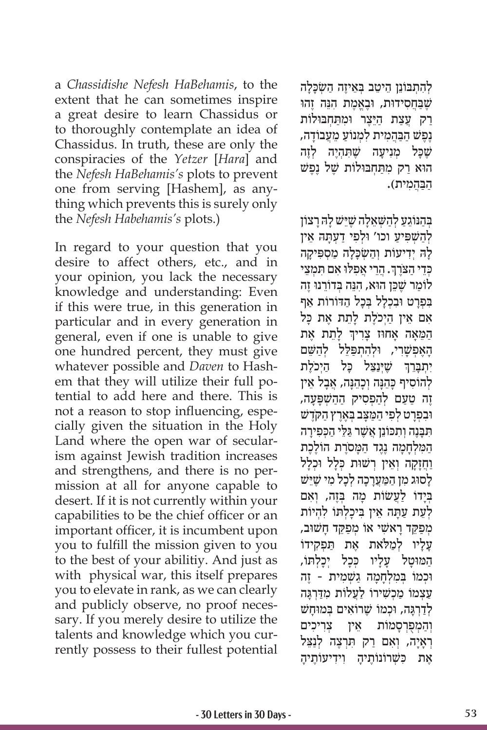a *Chassidishe Nefesh HaBehamis*, to the extent that he can sometimes inspire a great desire to learn Chassidus or to thoroughly contemplate an idea of Chassidus. In truth, these are only the conspiracies of the *Yetzer* [*Hara*] and the *Nefesh HaBehamis's* plots to prevent one from serving [Hashem], as anything which prevents this is surely only the *Nefesh Habehamis's* plots.)

In regard to your question that you desire to affect others, etc., and in your opinion, you lack the necessary knowledge and understanding: Even if this were true, in this generation in particular and in every generation in general, even if one is unable to give one hundred percent, they must give whatever possible and *Daven* to Hashem that they will utilize their full potential to add here and there. This is not a reason to stop influencing, especially given the situation in the Holy Land where the open war of secularism against Jewish tradition increases and strengthens, and there is no permission at all for anyone capable to desert. If it is not currently within your capabilities to be the chief officer or an important officer, it is incumbent upon you to fulfill the mission given to you to the best of your abilitiy. And just as with physical war, this itself prepares you to elevate in rank, as we can clearly and publicly observe, no proof necessary. If you merely desire to utilize the talents and knowledge which you currently possess to their fullest potential

לְהָתְבּוֹנֵן הֵיטֵב בָּאֵיזֶה הַשִּׂכָּלַה שִׁבַּחסידוּת, וּבַאֲמֹת הִנּה זהוּ ַרַק עֲצַת הַיֵּצֵר וּמְתַחְבּוּלוֹת נֶפֵשׁ הַבַּהֲמִית לְמְנוֹעַ מֵעֲבוֹדַה, שֶׁכָּל מִנִיעַה שֵׁתְהָיֵה לְזֵה ּהו ַא ר ִ ק מ ַּת ְח ּב ּולוֹ ת שֶׁ ֶל נֶפשׁ ַהַּבֲה ִמית(.

בְּהַנּוֹגֵעַ לְהַשָּׁא<u>ֵל</u>ָה שֶׁיֵּשׁ לַהּ רַצוֹן לְהַשָּׁפִּיעֲ וכו' וּלְפִי דַעָתַּהּ אֵין ַלָה יִדִיעוֹת וְהַשִׂכְלַה מַסִפִּיקַה ֧֧֖֖֖֖֖֖֖֧֚֚֚֚֚֚֚֚֝֝֬<u>֓</u> כְּדֵי הַצֹּרֶךְ. הֲרֵי אֲפִלּוּ אִם תִּמְצֵי ַלוֹמר שֵׁכֵּן הוּא, הִנָּה בַדוֹרֲנוּ זֶה בְּפְרָט וּבְכָלַל בְּכָל הַדּוֹרוֹת אַף אם אֵין הַיְכֹלֵת לַתֵת אֶת כַּל ֧֧֧֦֧֢ׅ֖֖֖֖֧֚֚֚֚֚֝֝֬<u>֚</u> ַהַמֵּאָה אָחוּז צָרִיךְ לָתֵת אֶת הָאֶפְשָׁרִי, וּלְהִתְפַּלֵּל לְהַשֵּׁם יִתְבָּרֵךְ שֶׁיְּנַצֵּל כָּל הַיְכֹלֶת ַלְהוֹסִיף כַּהֶנָּה וְכָהֵנָּה, אֲבָל אֵין ֶז ַ ה טַע ְ ם לַה ְפ ִס ַ יק הַהשׁ ְ פָּ ָעה, ּו ִב ְפָר ְט ל ִפ ַי ה ַּמָּצ ְּב בֶאֶר ַץ ה ּקֶ ֹדשׁ ּתִּבְּנֶה וְתִכּוֹנֵן אֲשֶׁר גַּלֵּי הַכְּפִירָה ַהַמַּלְחָמָה נֶגֶד הַמַּסֹרֶת הוֹלֶכֶת וחזקה וְאֵין רְשׁוּת כִּלל וּכָלל ַלְסוֹג מִן הַמַּעֲרָכָה לְכָל מִי שֵׁיֵּשׁ בְּיָדוֹ לַעֲשׂוֹת מַה בְּזֶה, וְאִם לְעֵת עַתַּה אֵין בִּיכַלְתּוֹ לְהָיוֹת ְמַפ ֵּק ָד ראשׁ ִ ְ י אוֹ מַפ ֵּק ָד ח ּשׁ וב, ַעֲלַיו לְמַלֹּאת אֵת תַּפִקִידוֹ המּוּטל עליו כִּכל יְכַלְתּוֹ, ּוּכְמוֹ בִּמְלְחָמָה גַשְׁמִית - זֶה ַעֲצְמוֹ מַכְשִׁירוֹ לַעֲלוֹת מִדַּרְגָּה לדרגה, וכמוֹ שִׁרוֹאים בּמוּחש וְהַמְפִרְסַמוֹת אֵין צִרִיכִים רְאַיַה, וְאִם רַק תִּרְצֶה לְנַצֵּל ָאֵת כּשָׁרוֹנוֹתֵיה וידיעוֹתֵיה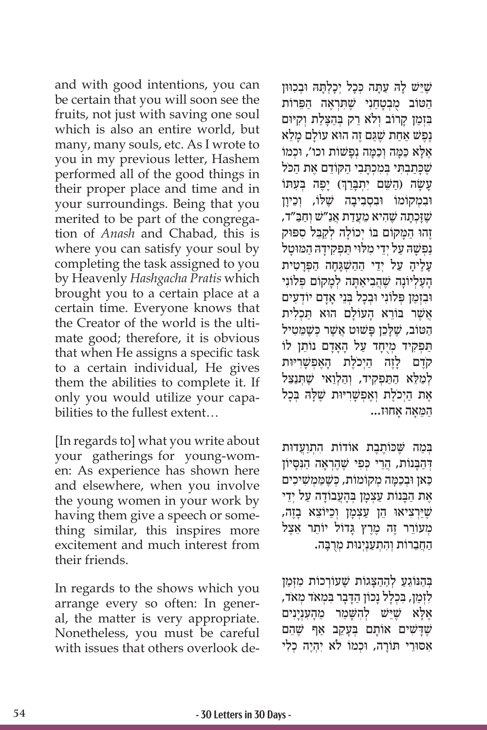and with good intentions, you can be certain that you will soon see the fruits, not just with saving one soul which is also an entire world, but many, many souls, etc. As I wrote to you in my previous letter, Hashem performed all of the good things in their proper place and time and in your surroundings. Being that you merited to be part of the congregation of *Anash* and Chabad, this is where you can satisfy your soul by completing the task assigned to you by Heavenly *Hashgacha Pratis* which brought you to a certain place at a certain time. Everyone knows that the Creator of the world is the ultimate good; therefore, it is obvious that when He assigns a specific task to a certain individual, He gives them the abilities to complete it. If only you would utilize your capabilities to the fullest extent…

[In regards to] what you write about your gatherings for young-women: As experience has shown here and elsewhere, when you involve the young women in your work by having them give a speech or something similar, this inspires more excitement and much interest from their friends.

In regards to the shows which you arrange every so often: In general, the matter is very appropriate. Nonetheless, you must be careful with issues that others overlook de-

שֵׁיֵּשׁ לַה עַתַּה כִּכָל יִכָלְתַּה וּבְכִוּוּן הטוֹב מבטחני שתראה הפרוֹת בּזַמן קַרוֹב וְלֹא רַק בְּהַצָּלַת וְקִיּוּם ֶנֶפ ַשׁ אַחת שֶׁ ַּג ֶם ז ּ ה הו ָ א עוֹ ל ָם מֵלא אֶלָּא כַּמָּה וְכַמָּה נְפָשׁוֹת וכו', וּכְמוֹ שֵׁכּתבִתִּי בִּמְכָתּבי הִקְוֹדָם אֶת הכֹּל ֧֧֢ׅ֖֧֚֝֝֬֓֓<u>֓</u> ׁעָשָׂה (הַשֵּׁם יִתְבָּרֵךְ) יָפֶה בְּעָתּוֹ וּבְמִקוֹמוֹ וּבְסְבִיבַה שֵׁלוֹ, וְכֵיוַן שׁוּכתה שהיא מעדת אנ״ש וחב״ד, זָהוּ הַמֲקוֹם בּוֹ יְכוֹלַה לְקַבֵּל סִפּוּק נפַשה על יָדֵי מלוי תּפַקידה המוּטל ָעֶל ָיה ַ ע ְ ל יֵד ַ י הַהשׁ ְ ָּגָח ַ ה הפְּ ָרִטית ָהָעֲלְיוֹנָה שֶׁהֲבִיאֲתָה לְמַקוֹם פְּלוֹנִי ּו ִבְזַמן פְּ ִלוֹ נ ּ י ו ְבָכ ְּל בֵנ ָ י אָד ְ ם יוֹ דִעים ֿאֲשֶׁר בּוֹרֵא הַעוֹלַם הוּא תּכִלית הַטּוֹב, שֶׁלְּכֵן פָּשׁוּט אֲשֶׁר כְּשֶׁמֵּטִיל תּפִקיד מַיְחד על האדם נוֹתֵן לוֹ קֹדֶם לָזֶה הַיִּכֹלֵת הָאֱפִשַּׁרִיּוּת לְמַלֵּא הַתַּפְקִיד, וְהַלְוַאי שֶׁתְּנַצֵּל ּל ּה ְּ בָכל ֶא ַת הְי ֶכֹל ְת וֶא ְפשָׁ ִרּיּות שֶׁ ָ  $\ldots$ המאה אחוז

בְּמַה שֵׁכּוֹתֶבֶת אוֹדוֹת הִתְוַעֲדוּת ּדְהַבָּנוֹת, הֲרֵי כְּפִי שֶׁהֶרְאָה הַנִּסְיוֹן ַכּ ּ אן ו ְבַכָּמ ְה מ ְ קוֹ מוֹ ת, כּשֶׁ ַּמ ְמשׁ ִ ִיכים ָאֵת הַבָּנוֹת עַצְמַן בְּהָעֲבוֹדָה עַל יְדֵי ּיְרִצ ּ יאו ֵ ה ַ ן ע ְצָמ ְ ן וַכּי ֵוֹ צ ָ א בֶזה, שֶׁ ַ מִעוֹרֵר זֶה מֶרֵץ גַּדוֹל יוֹתֵר אֱצֵל הַחֲבֵרוֹת וְהִתְעַנְיָנוּת מְרִבָּה.

ַבְּהוּגַע לְהִהְצְגוֹת שֵׁעוֹרְכוֹת מַזְּמן לִזְמַן, בִּכְלָל נָכוֹן הַדָּבָר בִּמְאֹד מִאֹד, אָלָא שֶׁיֵּשׁ לְהִשָּׁמֵר מֵהָעִנְיָנִים שֶׁדָּשִׁים אוֹתָם בִּעָקֵב אַף שֵׁהֵם ִא ּס ּוֵר ּ י ת ָוֹ ר ּ ה, ו ְכ ִ מוֹ לֹא י ְהֶי ְ ה כִלי